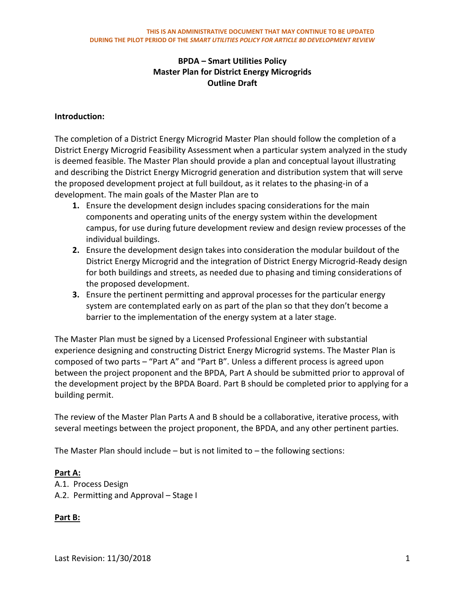#### **Introduction:**

The completion of a District Energy Microgrid Master Plan should follow the completion of a District Energy Microgrid Feasibility Assessment when a particular system analyzed in the study is deemed feasible. The Master Plan should provide a plan and conceptual layout illustrating and describing the District Energy Microgrid generation and distribution system that will serve the proposed development project at full buildout, as it relates to the phasing-in of a development. The main goals of the Master Plan are to

- **1.** Ensure the development design includes spacing considerations for the main components and operating units of the energy system within the development campus, for use during future development review and design review processes of the individual buildings.
- **2.** Ensure the development design takes into consideration the modular buildout of the District Energy Microgrid and the integration of District Energy Microgrid-Ready design for both buildings and streets, as needed due to phasing and timing considerations of the proposed development.
- **3.** Ensure the pertinent permitting and approval processes for the particular energy system are contemplated early on as part of the plan so that they don't become a barrier to the implementation of the energy system at a later stage.

The Master Plan must be signed by a Licensed Professional Engineer with substantial experience designing and constructing District Energy Microgrid systems. The Master Plan is composed of two parts – "Part A" and "Part B". Unless a different process is agreed upon between the project proponent and the BPDA, Part A should be submitted prior to approval of the development project by the BPDA Board. Part B should be completed prior to applying for a building permit.

The review of the Master Plan Parts A and B should be a collaborative, iterative process, with several meetings between the project proponent, the BPDA, and any other pertinent parties.

The Master Plan should include  $-$  but is not limited to  $-$  the following sections:

#### **Part A:**

A.1. Process Design A.2. Permitting and Approval – Stage I

#### **Part B:**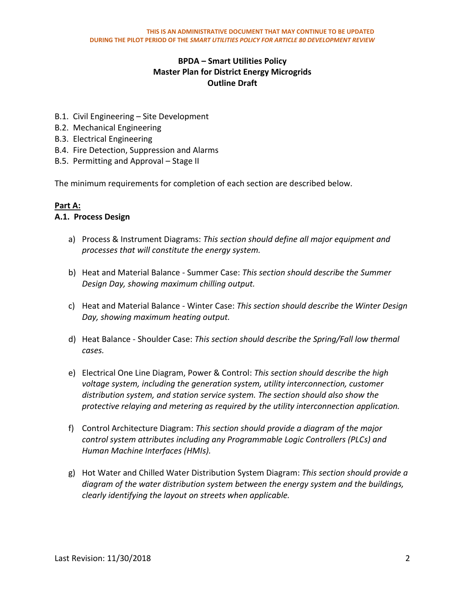- B.1. Civil Engineering Site Development
- B.2. Mechanical Engineering
- B.3. Electrical Engineering
- B.4. Fire Detection, Suppression and Alarms
- B.5. Permitting and Approval Stage II

The minimum requirements for completion of each section are described below.

### **Part A:**

#### **A.1. Process Design**

- a) Process & Instrument Diagrams: *This section should define all major equipment and processes that will constitute the energy system.*
- b) Heat and Material Balance Summer Case: *This section should describe the Summer Design Day, showing maximum chilling output.*
- c) Heat and Material Balance Winter Case: *This section should describe the Winter Design Day, showing maximum heating output.*
- d) Heat Balance Shoulder Case: *This section should describe the Spring/Fall low thermal cases.*
- e) Electrical One Line Diagram, Power & Control: *This section should describe the high voltage system, including the generation system, utility interconnection, customer distribution system, and station service system. The section should also show the protective relaying and metering as required by the utility interconnection application.*
- f) Control Architecture Diagram: *This section should provide a diagram of the major control system attributes including any Programmable Logic Controllers (PLCs) and Human Machine Interfaces (HMIs).*
- g) Hot Water and Chilled Water Distribution System Diagram: *This section should provide a diagram of the water distribution system between the energy system and the buildings, clearly identifying the layout on streets when applicable.*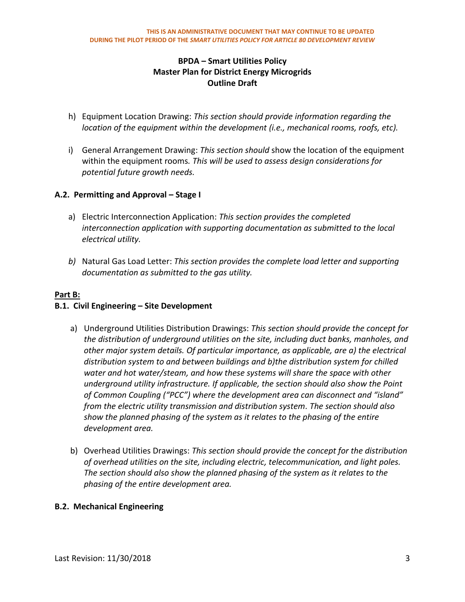- h) Equipment Location Drawing: *This section should provide information regarding the location of the equipment within the development (i.e., mechanical rooms, roofs, etc).*
- i) General Arrangement Drawing: *This section should* show the location of the equipment within the equipment rooms*. This will be used to assess design considerations for potential future growth needs.*

## **A.2. Permitting and Approval – Stage I**

- a) Electric Interconnection Application: *This section provides the completed interconnection application with supporting documentation as submitted to the local electrical utility.*
- *b)* Natural Gas Load Letter: *This section provides the complete load letter and supporting documentation as submitted to the gas utility.*

#### **Part B:**

### **B.1. Civil Engineering – Site Development**

- a) Underground Utilities Distribution Drawings: *This section should provide the concept for the distribution of underground utilities on the site, including duct banks, manholes, and other major system details. Of particular importance, as applicable, are a) the electrical distribution system to and between buildings and b)the distribution system for chilled water and hot water/steam, and how these systems will share the space with other underground utility infrastructure. If applicable, the section should also show the Point of Common Coupling ("PCC") where the development area can disconnect and "island" from the electric utility transmission and distribution system. The section should also show the planned phasing of the system as it relates to the phasing of the entire development area.*
- b) Overhead Utilities Drawings: *This section should provide the concept for the distribution of overhead utilities on the site, including electric, telecommunication, and light poles. The section should also show the planned phasing of the system as it relates to the phasing of the entire development area.*

#### **B.2. Mechanical Engineering**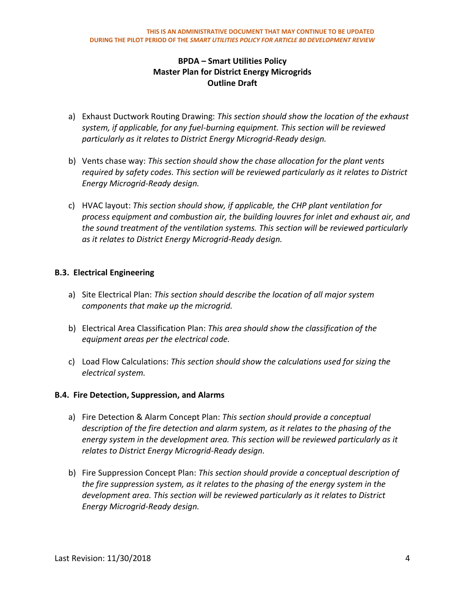- a) Exhaust Ductwork Routing Drawing: *This section should show the location of the exhaust system, if applicable, for any fuel-burning equipment. This section will be reviewed particularly as it relates to District Energy Microgrid-Ready design.*
- b) Vents chase way: *This section should show the chase allocation for the plant vents required by safety codes. This section will be reviewed particularly as it relates to District Energy Microgrid-Ready design.*
- c) HVAC layout: *This section should show, if applicable, the CHP plant ventilation for process equipment and combustion air, the building louvres for inlet and exhaust air, and the sound treatment of the ventilation systems. This section will be reviewed particularly as it relates to District Energy Microgrid-Ready design.*

### **B.3. Electrical Engineering**

- a) Site Electrical Plan: *This section should describe the location of all major system components that make up the microgrid.*
- b) Electrical Area Classification Plan: *This area should show the classification of the equipment areas per the electrical code.*
- c) Load Flow Calculations: *This section should show the calculations used for sizing the electrical system.*

## **B.4. Fire Detection, Suppression, and Alarms**

- a) Fire Detection & Alarm Concept Plan: *This section should provide a conceptual description of the fire detection and alarm system, as it relates to the phasing of the energy system in the development area. This section will be reviewed particularly as it relates to District Energy Microgrid-Ready design.*
- b) Fire Suppression Concept Plan: *This section should provide a conceptual description of the fire suppression system, as it relates to the phasing of the energy system in the development area. This section will be reviewed particularly as it relates to District Energy Microgrid-Ready design.*